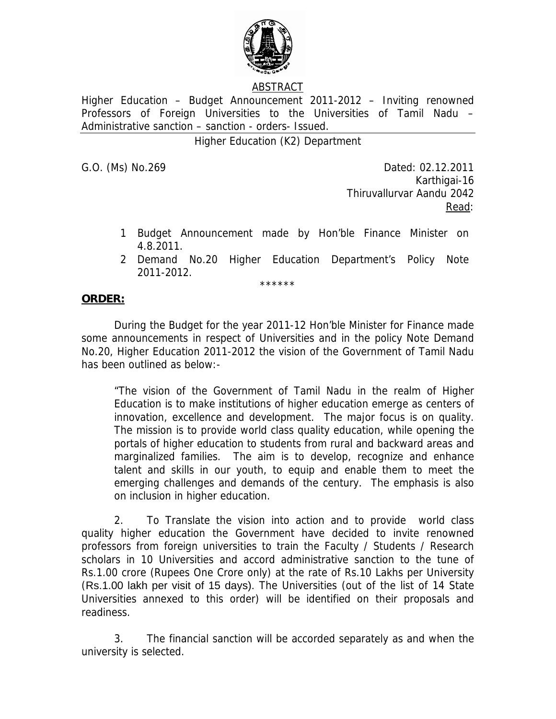

## ABSTRACT

Higher Education – Budget Announcement 2011-2012 – Inviting renowned Professors of Foreign Universities to the Universities of Tamil Nadu – Administrative sanction – sanction - orders- Issued.

Higher Education (K2) Department

G.O. (Ms) No.269 Dated: 02.12.2011 Karthigai-16 Thiruvallurvar Aandu 2042 <u>Read</u>: the contract of the contract of the Read:

- 1 Budget Announcement made by Hon'ble Finance Minister on 4.8.2011.
- 2 Demand No.20 Higher Education Department's Policy Note 2011-2012.

\*\*\*\*\*\*

## **ORDER:**

 During the Budget for the year 2011-12 Hon'ble Minister for Finance made some announcements in respect of Universities and in the policy Note Demand No.20, Higher Education 2011-2012 the vision of the Government of Tamil Nadu has been outlined as below:-

"The vision of the Government of Tamil Nadu in the realm of Higher Education is to make institutions of higher education emerge as centers of innovation, excellence and development. The major focus is on quality. The mission is to provide world class quality education, while opening the portals of higher education to students from rural and backward areas and marginalized families. The aim is to develop, recognize and enhance talent and skills in our youth, to equip and enable them to meet the emerging challenges and demands of the century. The emphasis is also on inclusion in higher education.

2. To Translate the vision into action and to provide world class quality higher education the Government have decided to invite renowned professors from foreign universities to train the Faculty / Students / Research scholars in 10 Universities and accord administrative sanction to the tune of Rs.1.00 crore (Rupees One Crore only) at the rate of Rs.10 Lakhs per University (Rs.1.00 lakh per visit of 15 days). The Universities (out of the list of 14 State Universities annexed to this order) will be identified on their proposals and readiness.

3. The financial sanction will be accorded separately as and when the university is selected.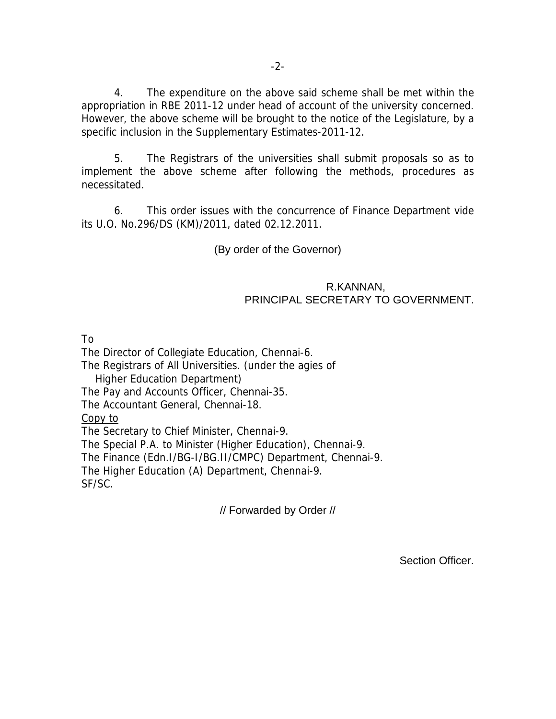4. The expenditure on the above said scheme shall be met within the appropriation in RBE 2011-12 under head of account of the university concerned. However, the above scheme will be brought to the notice of the Legislature, by a specific inclusion in the Supplementary Estimates-2011-12.

 5. The Registrars of the universities shall submit proposals so as to implement the above scheme after following the methods, procedures as necessitated.

 6. This order issues with the concurrence of Finance Department vide its U.O. No.296/DS (KM)/2011, dated 02.12.2011.

(By order of the Governor)

## R.KANNAN, PRINCIPAL SECRETARY TO GOVERNMENT.

To

The Director of Collegiate Education, Chennai-6. The Registrars of All Universities. (under the agies of Higher Education Department) The Pay and Accounts Officer, Chennai-35. The Accountant General, Chennai-18. Copy to The Secretary to Chief Minister, Chennai-9. The Special P.A. to Minister (Higher Education), Chennai-9. The Finance (Edn.I/BG-I/BG.II/CMPC) Department, Chennai-9. The Higher Education (A) Department, Chennai-9. SF/SC.

// Forwarded by Order //

Section Officer.